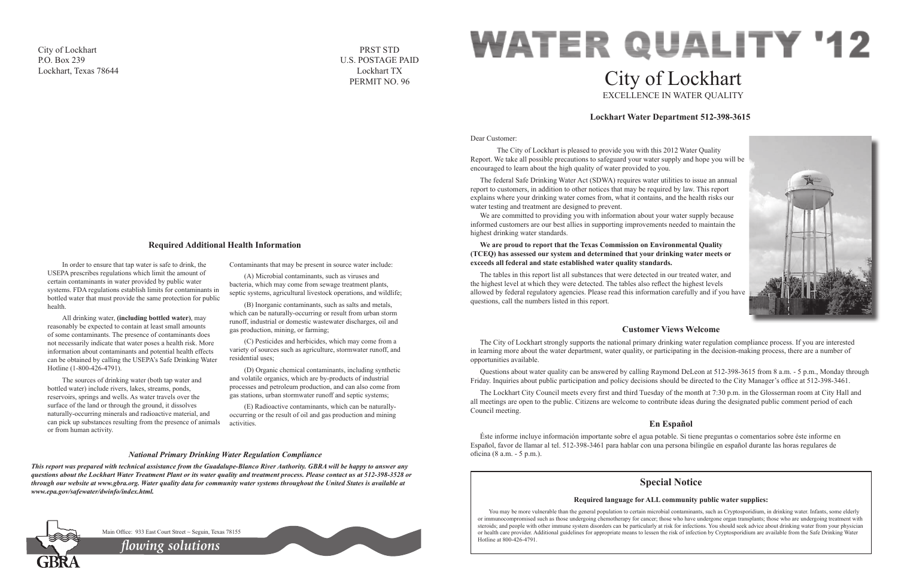Dear Customer:

 The City of Lockhart is pleased to provide you with this 2012 Water Quality Report. We take all possible precautions to safeguard your water supply and hope you will be encouraged to learn about the high quality of water provided to you.

We are committed to providing you with information about your water supply because informed customers are our best allies in supporting improvements needed to maintain the highest drinking water standards.

The federal Safe Drinking Water Act (SDWA) requires water utilities to issue an annual report to customers, in addition to other notices that may be required by law. This report explains where your drinking water comes from, what it contains, and the health risks our water testing and treatment are designed to prevent.

# **WATER QUALITY '12** City of Lockhart EXCELLENCE IN WATER QUALITY

### **We are proud to report that the Texas Commission on Environmental Quality (TCEQ) has assessed our system and determined that your drinking water meets or exceeds all federal and state established water quality standards.**

The tables in this report list all substances that were detected in our treated water, and the highest level at which they were detected. The tables also reflect the highest levels allowed by federal regulatory agencies. Please read this information carefully and if you have questions, call the numbers listed in this report.

# **Lockhart Water Department 512-398-3615**



# **Customer Views Welcome**

The City of Lockhart strongly supports the national primary drinking water regulation compliance process. If you are interested in learning more about the water department, water quality, or participating in the decision-making process, there are a number of opportunities available.

Questions about water quality can be answered by calling Raymond DeLeon at 512-398-3615 from 8 a.m. - 5 p.m., Monday through Friday. Inquiries about public participation and policy decisions should be directed to the City Manager's office at 512-398-3461.

The Lockhart City Council meets every first and third Tuesday of the month at 7:30 p.m. in the Glosserman room at City Hall and all meetings are open to the public. Citizens are welcome to contribute ideas during the designated public comment period of each Council meeting.

# **En Español**

Éste informe incluye información importante sobre el agua potable. Si tiene preguntas o comentarios sobre éste informe en Español, favor de llamar al tel. 512-398-3461 para hablar con una persona bilingüe en español durante las horas regulares de oficina (8 a.m. - 5 p.m.).

In order to ensure that tap water is safe to drink, the USEPA prescribes regulations which limit the amount of certain contaminants in water provided by public water systems. FDA regulations establish limits for contaminants in bottled water that must provide the same protection for public health.

> You may be more vulnerable than the general population to certain microbial contaminants, such as Cryptosporidium, in drinking water. Infants, some elderly or immunocompromised such as those undergoing chemotherapy for cancer; those who have undergone organ transplants; those who are undergoing treatment with steroids; and people with other immune system disorders can be particularly at risk for infections. You should seek advice about drinking water from your physician or health care provider. Additional guidelines for appropriate means to lessen the risk of infection by Cryptosporidium are available from the Safe Drinking Water

All drinking water, **(including bottled water)**, may reasonably be expected to contain at least small amounts of some contaminants. The presence of contaminants does not necessarily indicate that water poses a health risk. More information about contaminants and potential health effects can be obtained by calling the USEPA's Safe Drinking Water Hotline (1-800-426-4791).

The sources of drinking water (both tap water and bottled water) include rivers, lakes, streams, ponds, reservoirs, springs and wells. As water travels over the surface of the land or through the ground, it dissolves naturally-occurring minerals and radioactive material, and can pick up substances resulting from the presence of animals or from human activity.

Contaminants that may be present in source water include:

(A) Microbial contaminants, such as viruses and bacteria, which may come from sewage treatment plants, septic systems, agricultural livestock operations, and wildlife;

(B) Inorganic contaminants, such as salts and metals, which can be naturally-occurring or result from urban storm runoff, industrial or domestic wastewater discharges, oil and gas production, mining, or farming;

(C) Pesticides and herbicides, which may come from a variety of sources such as agriculture, stormwater runoff, and residential uses;

(D) Organic chemical contaminants, including synthetic and volatile organics, which are by-products of industrial processes and petroleum production, and can also come from gas stations, urban stormwater runoff and septic systems;

(E) Radioactive contaminants, which can be naturallyoccurring or the result of oil and gas production and mining activities.

# **Required Additional Health Information**

### *National Primary Drinking Water Regulation Compliance*

*This report was prepared with technical assistance from the Guadalupe-Blanco River Authority. GBRA will be happy to answer any questions about the Lockhart Water Treatment Plant or its water quality and treatment process. Please contact us at 512-398-3528 or through our website at www.gbra.org. Water quality data for community water systems throughout the United States is available at www.epa.gov/safewater/dwinfo/index.html.*



Main Office: 933 East Court Street ~ Seguin, Texas 78155

# **Special Notice**

# **Required language for ALL community public water supplies:**

Hotline at 800-426-4791. *flowing solutions*



City of Lockhart P.O. Box 239 Lockhart, Texas 78644

PRST STD U.S. POSTAGE PAID Lockhart TX PERMIT NO. 96